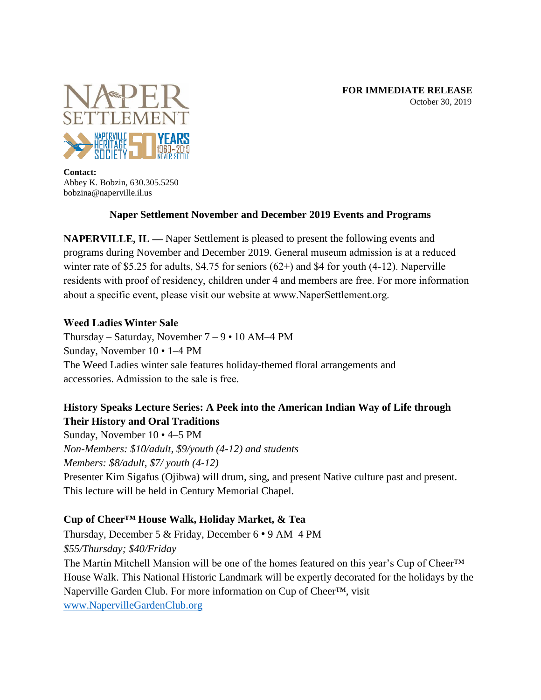

**Contact:** Abbey K. Bobzin, 630.305.5250 bobzina@naperville.il.us

## **Naper Settlement November and December 2019 Events and Programs**

**NAPERVILLE, IL —** Naper Settlement is pleased to present the following events and programs during November and December 2019. General museum admission is at a reduced winter rate of \$5.25 for adults, \$4.75 for seniors (62+) and \$4 for youth (4-12). Naperville residents with proof of residency, children under 4 and members are free. For more information about a specific event, please visit our website at www.NaperSettlement.org.

#### **Weed Ladies Winter Sale**

Thursday – Saturday, November  $7 - 9 \cdot 10$  AM–4 PM Sunday, November 10 • 1–4 PM  The Weed Ladies winter sale features holiday-themed floral arrangements and accessories. Admission to the sale is free.

# **History Speaks Lecture Series: A Peek into the American Indian Way of Life through Their History and Oral Traditions**

Sunday, November 10 • 4–5 PM *Non-Members: \$10/adult, \$9/youth (4-12) and students Members: \$8/adult, \$7/ youth (4-12)*  Presenter Kim Sigafus (Ojibwa) will drum, sing, and present Native culture past and present. This lecture will be held in Century Memorial Chapel.

## **Cup of Cheer™ House Walk, Holiday Market, & Tea**

Thursday, December 5 & Friday, December 6 • 9 AM–4 PM *\$55/Thursday; \$40/Friday* The Martin Mitchell Mansion will be one of the homes featured on this year's Cup of Cheer™ House Walk. This National Historic Landmark will be expertly decorated for the holidays by the Naperville Garden Club. For more information on Cup of Cheer™, visit [www.NapervilleGardenClub.org](http://www.napervillegardenclub.org/)